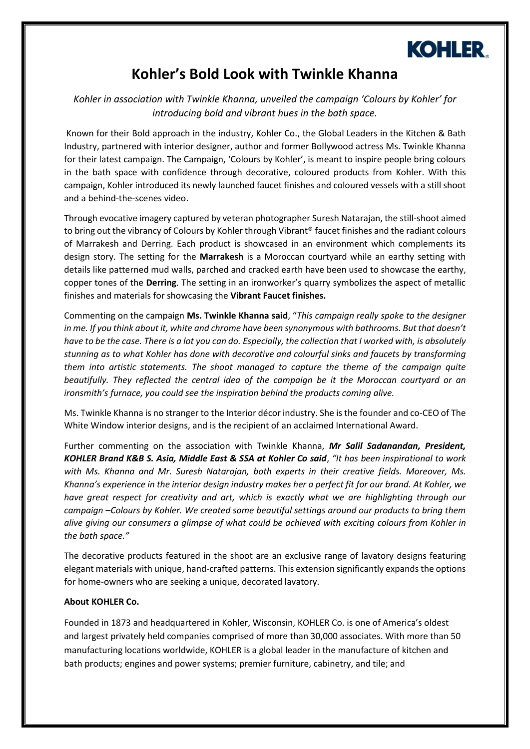

## **Kohler's Bold Look with Twinkle Khanna**

*Kohler in association with Twinkle Khanna, unveiled the campaign 'Colours by Kohler' for introducing bold and vibrant hues in the bath space.* 

Known for their Bold approach in the industry, Kohler Co., the Global Leaders in the Kitchen & Bath Industry, partnered with interior designer, author and former Bollywood actress Ms. Twinkle Khanna for their latest campaign. The Campaign, 'Colours by Kohler', is meant to inspire people bring colours in the bath space with confidence through decorative, coloured products from Kohler. With this campaign, Kohler introduced its newly launched faucet finishes and coloured vessels with a still shoot and a behind-the-scenes video.

Through evocative imagery captured by veteran photographer Suresh Natarajan, the still-shoot aimed to bring out the vibrancy of Colours by Kohler through Vibrant® faucet finishes and the radiant colours of Marrakesh and Derring. Each product is showcased in an environment which complements its design story. The setting for the **Marrakesh** is a Moroccan courtyard while an earthy setting with details like patterned mud walls, parched and cracked earth have been used to showcase the earthy, copper tones of the **Derring**. The setting in an ironworker's quarry symbolizes the aspect of metallic finishes and materials for showcasing the **Vibrant Faucet finishes.**

Commenting on the campaign **Ms. Twinkle Khanna said**, "*This campaign really spoke to the designer in me. If you think about it, white and chrome have been synonymous with bathrooms. But that doesn't have to be the case. There is a lot you can do. Especially, the collection that I worked with, is absolutely stunning as to what Kohler has done with decorative and colourful sinks and faucets by transforming them into artistic statements. The shoot managed to capture the theme of the campaign quite beautifully. They reflected the central idea of the campaign be it the Moroccan courtyard or an ironsmith's furnace, you could see the inspiration behind the products coming alive.*

Ms. Twinkle Khanna is no stranger to the Interior décor industry. She is the founder and co-CEO of The White Window interior designs, and is the recipient of an acclaimed International Award.

Further commenting on the association with Twinkle Khanna, *Mr Salil Sadanandan, President, KOHLER Brand K&B S. Asia, Middle East & SSA at Kohler Co said*, *"It has been inspirational to work with Ms. Khanna and Mr. Suresh Natarajan, both experts in their creative fields. Moreover, Ms. Khanna's experience in the interior design industry makes her a perfect fit for our brand. At Kohler, we have great respect for creativity and art, which is exactly what we are highlighting through our campaign –Colours by Kohler. We created some beautiful settings around our products to bring them alive giving our consumers a glimpse of what could be achieved with exciting colours from Kohler in the bath space."*

The decorative products featured in the shoot are an exclusive range of lavatory designs featuring elegant materials with unique, hand-crafted patterns. This extension significantly expands the options for home-owners who are seeking a unique, decorated lavatory.

## **About KOHLER Co.**

Founded in 1873 and headquartered in Kohler, Wisconsin, KOHLER Co. is one of America's oldest and largest privately held companies comprised of more than 30,000 associates. With more than 50 manufacturing locations worldwide, KOHLER is a global leader in the manufacture of kitchen and bath products; engines and power systems; premier furniture, cabinetry, and tile; and